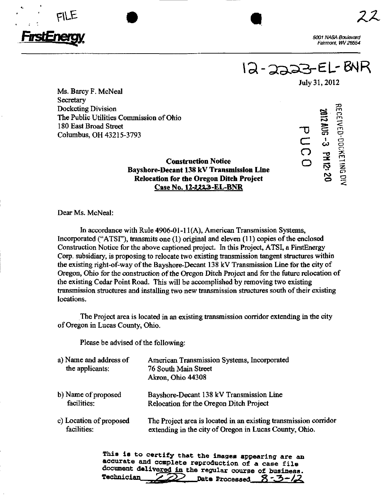

Q-as3S-eL-6MR

 $\sigma$ C

(၂<br> o

July 31,2012

1  $\bm{\omega}$  $\mathbf{r}$ ro  $\bf{S}$  o  $\tilde{\mathbf{x}}$ 

 $\Xi$ 

Ms. Barcy F. McNeal **Secretary** Docketing Division The Public Utilities Commission of Ohio 180 East Broad Street Columbus, OH 43215-3793

# Construction Notice Bayshore-Decant 138 kV Transmission Line Relocation for the Oregon Ditch Project Case No. 12-2223-EL-BNR

Dear Ms. McNeal:

In accordance with Rule 4906-01-11(A), American Transmission Systems, Incorporated ("ATSI"), transmits one (1) original and eleven (11) copies of the enclosed Construction Notice for the above captioned project. In this Project, ATSI, a FirstEnergy Corp. subsidiary, is proposing to relocate two existing transmission tangent structures within the existing right-of-way of the Bayshore-Decant 138 kV Transmission Line for the city of Oregon, Ohio for the construction of the Oregon Ditch Project and for the future relocation of the existing Cedar Point Road. This will be accomplished by removing two existing transmission structures and installing two new transmission structures south of their existing locations.

The Project area is located in an existing transmission corridor extending in the city of Oregon in Lucas County, Ohio.

Please be advised of the following:

| a) Name and address of<br>the applicants: | American Transmission Systems, Incorporated<br>76 South Main Street<br>Akron, Ohio 44308 |
|-------------------------------------------|------------------------------------------------------------------------------------------|
| b) Name of proposed                       | Bayshore-Decant 138 kV Transmission Line                                                 |
| facilities:                               | Relocation for the Oregon Ditch Project                                                  |
| c) Location of proposed                   | The Project area is located in an existing transmission corridor                         |
| facilities:                               | extending in the city of Oregon in Lucas County, Ohio.                                   |

This is to certify that the images appearing are an accurate and complete reproduction of a case file document delivered in the regular course of business. Technician  $\gg$  Date Processed  $\frac{8-3-}{2}$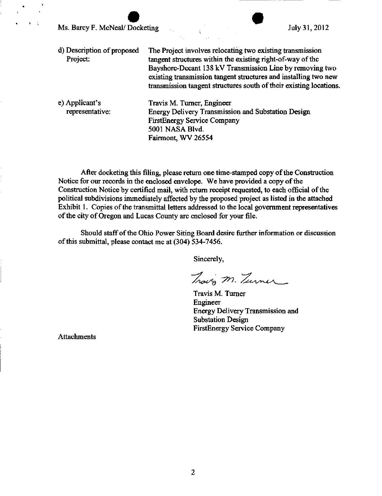Ms. Barcy F. McNeal/Docketing July 31, 2012

- d) Description of proposed The Project involves relocating two existing transmission Project: tangent structures within the existing right-of-way of the Bayshore-Decant 138 kV Transmission Line by removing two existing transmission tangent structures and installing two new transmission tangent structures south of their existing locations.
- e) Applicant's Travis M. Turner, Engineer representative: Energy Delivery Transmission and Substation Design FirstEnergy Service Company 5001 NASA Blvd. Fairmont, WV 26554

After docketing this filing, please return one time-stamped copy of the Construction Notice for our records in the enclosed envelope. We have provided a copy of the Construction Notice by certified mail, with return receipt requested, to each official of the political subdivisions immediately affected by the proposed project as listed in the attached Exhibit 1. Copies of the transmittal letters addressed to the local government representatives of the city of Oregon and Lucas County are enclosed for your file.

Should staff of the Ohio Power Siting Board desire fiirther information or discussion of this submittal, please contact me at (304) 534-7456.

Sincerely.

Travo M. Turner

Travis M. Turner Engineer Energy Delivery Transmission and Substation Design FirstEnergy Service Company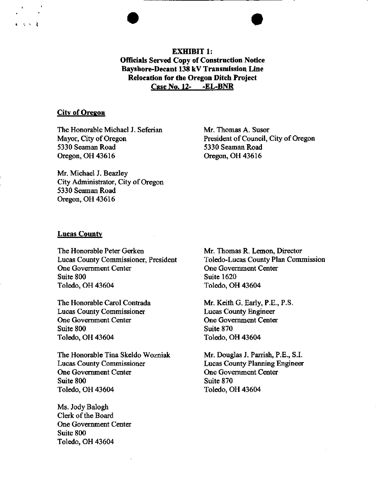EXHIBIT 1: Officials Served Copy of Coastruction Notice Bayshore-Decant 138 kV Transmission Line Relocation for the Oregon Ditch Project Case No. 12- -EL-BNR

## City of Oregon

 $\mathcal{N} \times \mathcal{N}$ 

The Honorable Michael J. Seferian Mayor, City of Oregon 5330 Seaman Road Oregon, OH 43616

Mr. Thomas A. Susor President of Council, City of Oregon 5330 Seaman Road Oregon, OH 43616

Mr. Michael J. Beazley City Administrator, City of Oregon 5330 Seaman Road Oregon, OH 43616

#### **Lucas County**

The Honorable Peter Gerken Lucas County Commissioner, President One Government Center Suite 800 Toledo, OH 43604

The Honorable Carol Contrada Lucas County Commissioner One Government Center Suite 800 Toledo, OH 43604

The Honorable Tina Skeldo Wozniak Lucas County Commissioner One Government Center Suite 800 Toledo, OH 43604

Ms. Jody Balogh Clerk of the Board One Government Center Suite 800 Toledo, OH 43604

Mr. Thomas R. Lemon, Director Toledo-Lucas County Plan Commission One Government Center Suite 1620 Toledo, OH 43604

Mr. Keith G. Early, P.E., P.S. Lucas County Engineer One Government Center Suite 870 Toledo, OH 43604

Mr. Douglas J. Parrish, P.E., S.I. Lucas County Planning Engineer One Government Center Suite 870 Toledo, OH 43604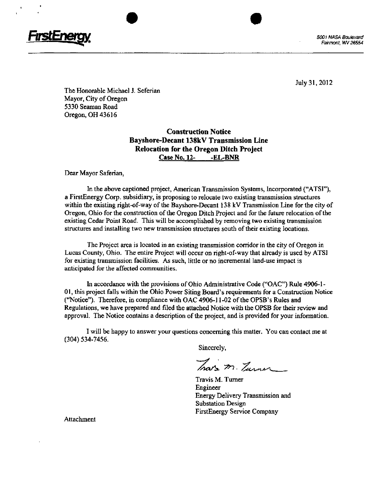

The Honorable Michael J. Seferian Mayor, City of Oregon 5330 Seaman Road Oregon, OH 43616

# Construction Notice Bayshore-Decant 138kV Transmission Line Relocation for the Oregon Ditch Project Case No. 12- -EL-BNR

Dear Mayor Saferian,

In the above captioned project, American Transmission Systems, Incorporated ("ATSI"), a FirstEnergy Corp. subsidiary, is proposing to relocate two existing transmission structures within the existing right-of-way of the Bayshore-Decant 138 kV Transmission Line for the city of Oregon, Ohio for the construction of the Oregon Ditch Project and for the future relocation of the existing Cedar Point Road. This will be accomplished by removing two existing transmission structures and installing two new transmission structures south of their existing locations.

The Project area is located in an existing transmission corridor in the city of Oregon in Lucas County, Ohio. The entire Project will occur on right-of-way that already is used by ATSI for existing transmission facilities. As such, little or no incremental land-use impact is anticipated for the affected communities.

In accordance with the provisions of Ohio Administrative Code ("OAC") Rule 4906-1- 01, this project falls within the Ohio Power Siting Board's requirements for a Construction Notice ("Notice"). Therefore, in compliance with OAC 4906-11-02 of the OPSB's Rules and Regulations, we have prepared and filed the attached Notice with the OPSB for their review and approval. The Notice contains a description of the project, and is provided for your information.

I will be happy to answer your questions concerning this matter. You can contact me at (304) 534-7456.

Sincerely,

That's m. Turner

Travis M. Turner Engineer Energy Delivery Transmission and Substation Design FirstEnergy Service Company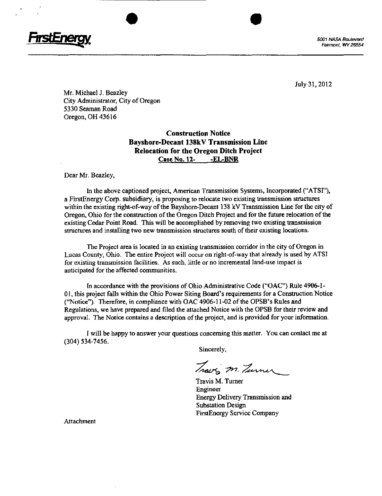

Mr. Michael J. Beazley City Administrator, City of Oregon 5330 Seaman Road Oregon, OH 43616

# Construction Notice Bayshore-Decant 138kV Transmission Line Relocation for the Oregon Ditch Project Case No. 12- -EL-BNR

Dear Mr. Beazley,

In the above captioned project, American Transmission Systems, Incorporated ("ATSI"), a FirstEnergy Corp. subsidiary, is proposing to relocate two existing transmission structures within the existing right-of-way of the Bayshore-Decant 138 kV Transmission Line for the city of Oregon, Ohio for the construction of the Oregon Ditch Project and for the future relocation of the existing Cedar Point Road. This will be accomplished by removing two existing transmission structures and installing two new transmission structures south of their existing locations.

The Project area is located in an existing transmission corridor in the city of Oregon in Lucas County, Ohio. The entire Project will occur on right-of-way that already is used by ATSI for existing transmission facilities. As such, little or no incremental land-use impact is anticipated for the affected communities.

In accordance with the provisions of Ohio Administrative Code ("OAC") Rule 4906-1 - 01, this project falls within the Ohio Power Siting Board's requirements for a Construction Notice ("Notice"). Therefore, in compliance with OAC 4906-11-02 of the OPSB's Rules and Regulations, we have prepared and filed the attached Notice with the OPSB for their review and approval. The Notice contains a description of the project, and is provided for your information.

I will be happy to answer your questions concerning this matter. You can contact me at (304) 534-7456.

Sincerely,

Traves m. Turner

Travis M. Turner Engineer Energy Delivery Transmission and Substation Design FirstEnergy Service Company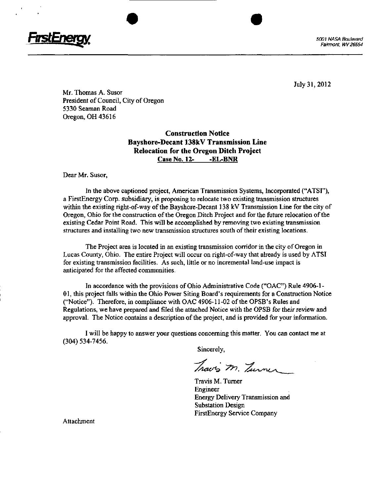

July 31, 2012

Mr. Thomas A. Susor President of Council, City of Oregon 5330 Seaman Road Oregon, OH 43616

> Construction Notice Bayshore-Decant 138kV Transmission Line Relocation for the Oregon Ditch Project Case No. 12- -EL-BNR

Dear Mr. Susor,

In the above captioned project, American Transmission Systems, Incorporated ("ATSI"), a FirstEnergy Corp. subsidiary, is proposing to relocate two existing transmission structures within the existing right-of-way of tie Bayshore-Decant 138 kV Transmission Line for the city of Oregon, Ohio for the construction of the Oregon Ditch Project and for the future relocation of the existing Cedar Point Road. This will be accomplished by removing two existing transmission structures and installing two new transmission structures south of their existing locations.

The Project area is located in an existing transmission corridor in the city of Oregon in Lucas County, Ohio. The entire Project will occur on right-of-way thai already is used by ATSI for existing transmission facilities. As such, little or no incremental land-use impact is anticipated for the affected communities.

In accordance with the provisions of Ohio Administrative Code ("OAC") Rule 4906-1- 01, this project falls within the Ohio Power Siting Board's requirements for a Construction Notice ("Notice"). Therefore, in compliance with OAC 4906-11-02 of the OPSB's Rules and Regulations, we have prepared and filed the attached Notice with the OPSB ior their review and approval. The Notice contains a description of the project, and is provided for your information.

I will be happy to answer your questions concerning this matter. You can contact me at (304) 534-7456.

Sincerely,

Travis M. Turner

Travis M. Turner Engineer Energy Delivery Transmission and Substation Design FirstEnergy Service Company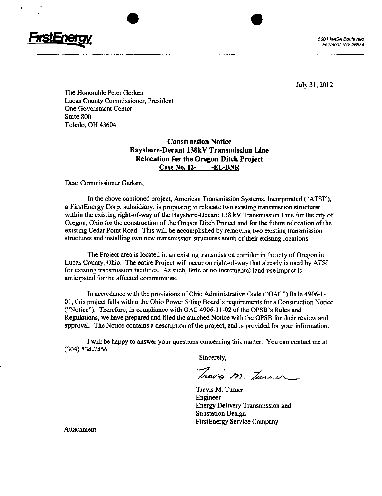

July 31,2012

The Honorable Peter Gerken Lucas County Commissioner, President One Government Center Suite 800 Toledo, OH 43604

# Construction Notice Bayshore-Decant 138kV Transmission Line Relocation for the Oregon Ditch Project Case No. 12- -EL-BNR

Dear Commissioner Gerken,

In the above captioned project, American Transmission Systems, Incorporated ("ATSI"), a FirstEnergy Corp. subsidiary, is proposing to relocate two existing transmission structures within the existing right-of-way of the Bayshore-Decant 138 kV Transmission Line for the city of Oregon, Ohio for the construction of the Oregon Ditch Project and for the foture relocation of the existing Cedar Point Road. This will be accomplished by removing two existing transmission structures and installing two new transmission structures south of their existing locations.

The Project area is located in an existing transmission corridor in the city of Oregon in Lucas County, Ohio. The entire Project will occur on right-of-way that already is used by ATSI for existing transmission facilities. As such, little or no incremental land-use impact is anticipated for the affected communities.

hi accordance with the provisions of Ohio Administrative Code ("OAC") Rule 4906-1- 01, this project falls within the Ohio Power Siting Board's requirements for a Construction Notice ("Notice"), Therefore, in compliance with OAC 4906-11-02 of the OPSB's Rules and Regulations, we have prepared and filed the attached Notice with the OPSB for their review and approval. The Notice contains a description of the project, and is provided for your information.

I will be happy to answer your questions concerning this matter. You can contact me at (304) 534-7456.

Sincerely,

Travis m. Turner

Travis M. Turner Engineer Energy Delivery Transmission and Substation Design FirstEnergy Service Company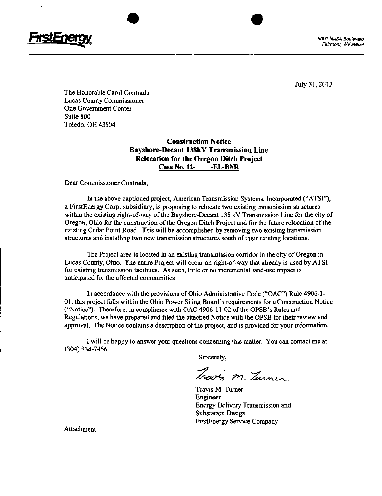

Fairmont, WV 26554

July 31, 2012

The Honorable Carol Contrada Lucas County Commissioner One Government Center Suite 800 Toledo, OH 43604

# Construction Notice Bayshore-Decant 138kV Transmission Line Relocation for the Oregon Ditch Project Case No. 12- -EL-BNR

Dear Commissioner Contrada,

In the above captioned project, American Transmission Systems, Incorporated ("ATSI"), a FirstEnergy Corp. subsidiary, is proposing to relocate two existing transmission structures within the existing right-of-way of the Bayshore-Decant 138 kV Transmission Line for the city of Oregon, Ohio for the construction of the Oregon Ditch Project and for the future relocation of the existing Cedar Point Road. This will be accomplished by removing two existing transmission structures and installing two new transmission structures south of their existing locations.

The Project area is located in an existing transmission corridor in the city of Oregon in Lucas County, Ohio. The entire Project will occur on right-of-way that already is used by ATSI for existing transmission facilities. As such, little or no incremental land-use impact is anticipated for the affected communities.

In accordance with the provisions of Ohio Administrative Code ("OAC") Rule 4906-1 - 01, this project falls within the Ohio Power Siting Board's requirements for a Construction Notice ("Notice"). Therefore, in compliance with OAC 4906-11-02 of the OPSB's Rules and Regulations, we have prepared and filed the attached Notice with the OPSB for their review and approval. The Notice contains a description of the project, and is provided for your information.

I will be happy to answer your questions concerning this matter. Yon can contact me at (304) 534-7456.

Sincerely,

Traves m. Turner

Travis M. Turner Engineer Energy Dehvery Transmission and Substation Design FirstEnergy Service Company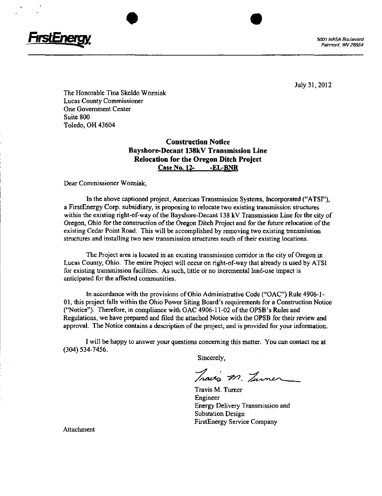

The Honorable Tina Skeldo Wozniak Lucas County Commissioner One Government Center Suite 800 Toledo. OH 43604

# Construction Notice Bayshore-Decant 138kV Transmission Line Relocation for the Oregon Ditch Project Case No. 12- -EL-BNR

Dear Commissioner Wozniak,

In the above captioned project, American Transmission Systems, Incorporated ("ATSI"), a FirstEnergy Corp. subsidiary, is proposing to relocate two existing transmission structures within the existing right-of-way of the Bayshore-Decant 138 kV Transmission Line for the city of Oregon, Ohio for the construction of the Oregon Ditch Project and for the future relocation of the existing Cedar Point Road. This will be accomplished by removing two existing transmission structures and installing two new transmission structures south of their existing locations.

The Project area is located in an existing transmission corridor in the city of Oregon in Lucas County, Ohio. The entire Project will occur on right-of-way that already is used by ATSI for existing transmission facilities. As such, little or no incremental land-use impact is anticipated for the affected communities.

In accordance with the provisions of Ohio Administrative Code ("OAC") Rule 4906-1- 01, this project falls within the Ohio Power Siting Board's requirements for a Construction Notice ("Notice"). Therefore, in compliance with OAC 4906-11-02 of the OPSB's Rules and Regulations, we have prepared and filed the attached Notice with the OPSB for their review and approval. The Notice contains a description of the project, and is provided for your information.

I will be happy to answer your questions concerning this matter. You can contact me at (304) 534-7456.

Sincerely,

Travis m. Turner

Travis M. Turner Engineer Energy Delivery Transmission and Substation Design FirstEnergy Service Company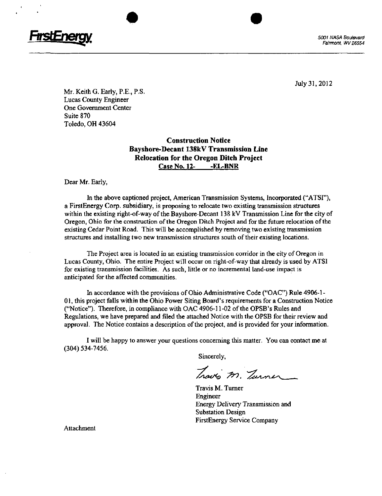

July 31, 2012

Mr. Keith G. Early, P.E., P.S. Lucas County Engineer One Government Center Suite 870 Toledo, OH 43604

# Construction Notice Bayshore-Decant 138kV Transmission Line Relocation for the Oregon Ditch Project Case No. 12- -EL-BNR

Dear Mr. Early,

In the above captioned project, American Transmission Systems, Incorporated ("ATSI"), a FirstEnergy Corp. subsidiary, is proposing to relocate two existing transmission structures within the existing right-of-way of the Bayshore-Decant 138 kV Transmission Line for the city of Oregon, Ohio for the construction of the Oregon Ditch Project and for the future relocation of the existing Cedar Point Road. This will be accomplished by removing two existing transmission structures and installing two new transmission structures south of their existing locations.

The Project area is located in an existing transmission corridor in the city of Oregon in Lucas County, Ohio. The entire Project will occur on right-of-way that already is used by ATSI for existing transmission facilities. As such, little or no incremental land-use impact is anticipated for the affected communities.

In accordance with the provisions of Ohio Administrative Code ("OAC") Rule 4906-1- 01, this project falls within the Ohio Power Siting Board's requirements for a Construction Notice ("Notice"). Therefore, in compliance with OAC 4906-11-02 of the OPSB's Rules and Regulations, we have prepared and filed the attached Notice with the OPSB for their review and approval. The Notice contains a description of the project, and is provided for your information.

I will be happy to answer your questions concerning this matter. You can contact me at (304) 534-7456,

Sincerely,

Traves m. Turner

Travis M. Turner Engineer Energy Delivery Transmission and Substation Design FirstEnergy Service Company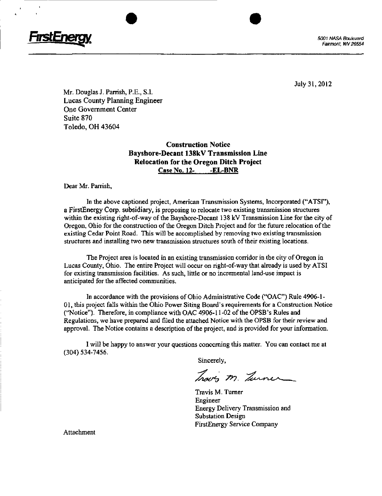

July 31,2012

Mr. Douglas J. Parrish, P.E., S.I. Lucas County Planning Engineer One Government Center Suite 870 Toledo, OH 43604

# Construction Notice Bayshore-Decant 138kV Transmission Line Relocation for the Oregon Ditch Project Case No. 12- -EL-BNR

Dear Mr. Parrish,

In the above captioned project, American Transmission Systems, Incorporated ("ATSI"), a FirstEnergy Corp. subsidiary, is proposing to relocate two existing transmission structures within the existing right-of-way of the Bayshore-Decant 138 kV Transmission Line for the city of Oregon, Ohio for the construction of the Oregon Ditch Project and for the future relocation of the existing Cedar Point Road. This will be accomplished by removing two existing transmission structures and installing two new transmission structures south of their existing locations.

The Project area is located in an existing transmission corridor in the city of Oregon in Lucas County, Ohio. The entire Project will occur on right-of-way that already is used by ATSI for existing transmission facilities. As such, little or no incremental land-use impact is anticipated for the affected communities.

In accordance with the provisions of Ohio Administrative Code ("OAC") Rule 4906-1- 01, this project falls within the Ohio Power Siting Board's requirements for a Construction Notice ("Notice"). Therefore, in compliance with OAC 4906-11-02 of the OPSB's Rules and Regulations, we have prepared and filed the attached Notice with the OPSB for their review and approval. The Notice contains a description of the project, and is provided for your information.

I will be happy to answer your questions concerning this matter. You can contact me at (304) 534-7456.

Sincerely,

Traves m. Zurner

Travis M. Turner Engineer Energy Delivery Transmission and Substation Design FirstEnergy Service Company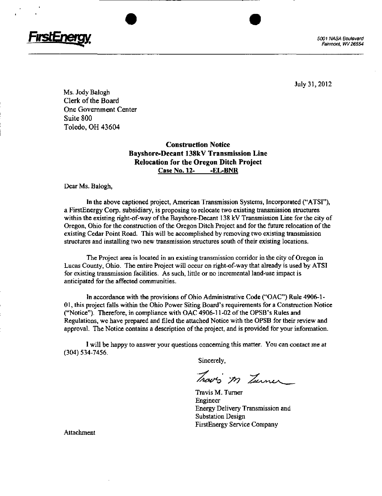

Fairmont. WV 26554

July 31, 2012

Ms. Jody Balogh Clerk of the Board One Government Center Suite 800 Toledo, OH 43604

# Construction Notice Bayshore-Decant 138kV Transmission Line Relocation for the Oregon Ditch Project Case No. 12-<br>-EL-BNR

Dear Ms. Balogh,

In the above captioned project, American Transmission Systems, Incorporated ("ATSF'), a FirstEnergy Corp, subsidiary, is proposing to relocate two existing transmission structures within the existing right-of-way of the Bayshore-Decant 138 kV Transmission Line for the city of Oregon, Ohio for the construction of the Oregon Ditch Project and for the future relocation of the existing Cedar Point Road. This will be accomplished by removing two existing transmission structures and installing two new transmission structures south of their existing locations.

The Project area is located in an existing transmission corridor in the city of Oregon in Lucas County, Ohio. The entire Project will occur on right-of-way that already is used by ATSI for existing transmission facilities. As such, little or no incremental land-use impact is anticipated for the affected communities.

In accordance with the provisions of Ohio Administrative Code ("OAC") Rule 4906-1- 01, this project falls within the Ohio Power Siting Board's requirements for a Construction Notice ("Notice"). Therefore, in compliance with OAC 4906-11-02 of the OPSB's Rules and Regulations, we have prepared and filed the attached Notice with the OPSB for their review and approval. The Notice contains a description of the project, and is provided for your information.

I will be happy to answer your questions concerning this matter. You can contact me at (304) 534-7456.

Sincerely,

Trav's m Turner

Travis M. Turner Engineer Energy Delivery Transmission and Substation Design FirstEnergy Service Company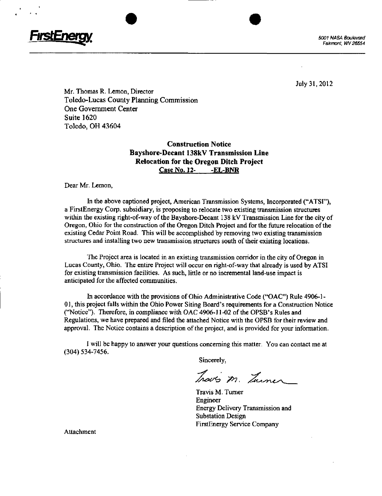

Mr. Thomas R. Lemon, Director Toledo-Lucas County Planning Commission One Government Center Suite 1620 Toledo, OH 43604

# Construction Notice Bayshore-Decant 138kV Transmission Line Relocation for the Oregon Ditch Project Case No. 12- -EL-BNR

Dear Mr. Lemon,

In the above captioned project, American Transmission Systems, Incorporated ("ATSI"), a FirstEnergy Corp. subsidiary, is proposing to relocate two existing transmission structures within the existing right-of-way of the Bayshore-Decant 138 kV Transmission Line for the city of Oregon, Ohio for the construction of the Oregon Ditch Project and for the future relocation of the existing Cedar Point Road. This will be accomplished by removing two existing transmission structures and installing two new transmission structures south of their existing locations.

The Project area is located in an existing transmission corridor in the city of Oregon in Lucas County, Ohio. The entire Project will occur on right-of-way that already is used by ATSI for existing transmission facilities. As such, little or no incremental land-use impact is anticipated for the affected communities.

In accordance with the provisions of Ohio Administrative Code ("OAC") Rule 4906-1 - 01, this project falls within the Ohio Power Siting Board's requirements for a Construction Notice ("Notice"). Therefore, in compliance with OAC 4906-11-02 of the OPSB's Rules and Regulations, we have prepared and filed the attached Notice with the OPSB for their review and approval. The Notice contains a description of the project, and is provided for your information.

I will be happy to answer your questions concerning this matter. You can contact me at (304) 534-7456.

Sincerely,

Traves m. Turner

Travis M. Turner Engineer Energy Delivery Transmission and Substation Design FirstEnergy Service Company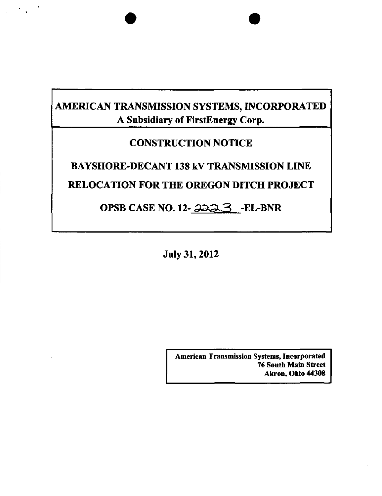# AMERICAN TRANSMISSION SYSTEMS, INCORPORATED A Subsidiary of FirstEnergy Corp.

 $\mathcal{F}^{\text{max}}_{\text{max}}$ 

# CONSTRUCTION NOTICE

# BAYSHORE-DECANT 138 kV TRANSMISSION LINE RELOCATION FOR THE OREGON DITCH PROJECT

# OPSB CASE NO. 12-223 -EL-BNR

July 31,2012

American Transmission Systems, Incorporated 76 South Main Street Akron, Ohio 44308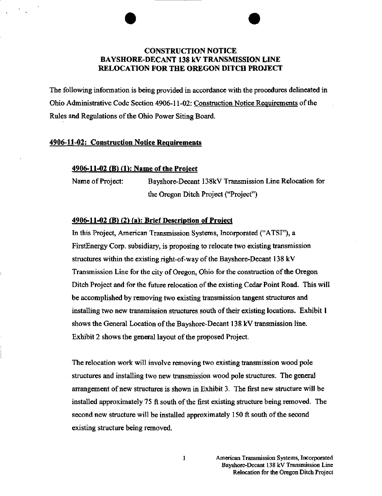# CONSTRUCTION NOTICE BAYSHORE-DECANT 138 kV TRANSMISSION LINE RELOCATION FOR THE OREGON DITCH PROJECT

The following information is being provided in accordance with the procedures delineated in Ohio Administrative Code Section 4906-11-02: Construction Notice Requirements of the Rules and Regulations of the Ohio Power Siting Board.

#### 4906-11-02: Construction Notice Requirements

#### 4906-11-02 (B) (1): Name of the Project

Name of Project: Bayshore-Decant 138kV Transmission Line Relocation for the Oregon Ditch Project ("Project")

#### 4906-11-02 (B) (2) (a): Brief Description of Project

In this Project, American Transmission Systems, Incorporated ("ATSI"), a FirstEnergy Corp. subsidiary, is proposing to relocate two existing transmission structures within the existing right-of-way of the Bayshore-Decant 138 kV Transmission Line for the city of Oregon, Ohio for the construction of the Oregon Ditch Project and for the future relocation of the existing Cedar Point Road. This will be accomplished by removing two existing transmission tangent structures and installing two new transmission structures south of their existing locations. Exhibit I shows the General Location of the Bayshore-Decant 138 kV transmission line. Exhibit 2 shows the general layout of the proposed Project.

The relocation work will involve removing two existing transmission wood pole structures and installing two new transmission wood pole structures. The general arrangement of new structures is shown in Exhibit 3. The first new structure will be installed approximately 75 ft south of the first existing structure being removed. The second new structure will be installed approximately 150 ft south of the second existing structure being removed.

 $\mathbf{I}$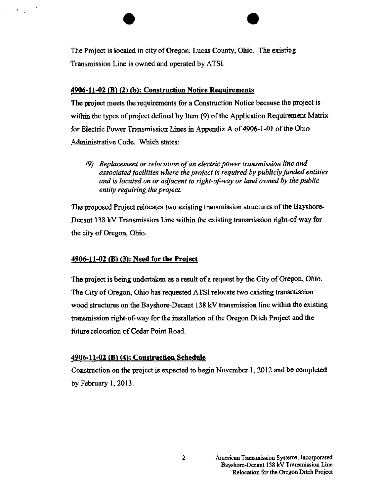The Project is located in city of Oregon, Lucas County, Ohio. The existing Transmission Line is owned and operated by ATSI.

### $4906-11-02$  (B) (2) (b): Construction Notice Requirements

The project meets the requirements for a Construction Notice because the project is within the types of project defined by Item (9) of the Application Requirement Matrix for Electric Power Transmission Lines in Appendix A of 4906-1-01 of the Ohio Administrative Code. Which states:

(9) Replacement or relocation of an electric power transmission line and associated facilities where the project is required by publicly funded entities and is located on or adjacent to right-of-way or land owned by the public entity requiring the project.

The proposed Project relocates two existing transmission structures of the Bayshore-Decant 138 kV Transmission Line within the existing transmission right-of-way for the city of Oregon, Ohio.

#### $4906-11-02$  (B) (3): Need for the Project

The project is being undertaken as a result of a request by the City of Oregon, Ohio. The City of Oregon, Ohio has requested ATSI relocate two existing transmission wood structures on the Bayshore-Decant 138 kV transmission line within the existing transmission right-of-way for the installation of the Oregon Ditch Project and the future relocation of Cedar Point Road.

#### 4906-11-02 (B) (4): Construction Schedule

Construction on the project is expected to begin November 1, 2012 and be completed by February 1,2013.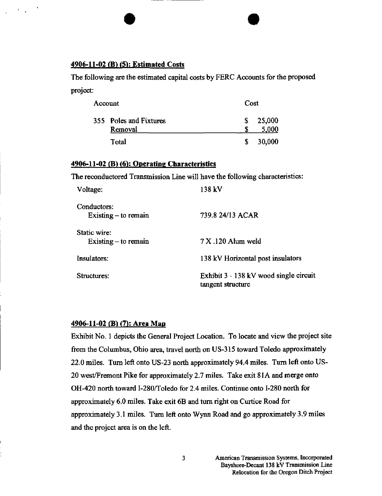#### 4906-11-02 (B) (5): Estimated Costs

The following are the estimated capital costs by FERC Accounts for the proposed project:

| Account |                        | Cost |        |
|---------|------------------------|------|--------|
|         | 355 Poles and Fixtures |      | 25,000 |
|         | Removal                |      | 5,000  |
|         | Total                  | S.   | 30,000 |

#### 4906-11-02 (B) (6): Operating Characteristics

The reconductored Transmission Line will have the following characteristics:

| Voltage:                              | 138 kV                                                      |
|---------------------------------------|-------------------------------------------------------------|
| Conductors:<br>Existing $-$ to remain | 739.8 24/13 ACAR                                            |
| Static wire:                          |                                                             |
| Existing $-$ to remain                | $7 X.120$ Alum weld                                         |
| <b>Insulators:</b>                    | 138 kV Horizontal post insulators                           |
| Structures:                           | Exhibit 3 - 138 kV wood single circuit<br>tangent structure |

## 4906-11-02 (B) (7): Area Map

Exhibit No. 1 depicts the General Project Location. To locate and view the project site from the Columbus, Ohio area, travel north on US-315 toward Toledo approximately 22.0 miles. Turn left onto US-23 north approximately 94.4 miles. Turn left onto US-20 west/Fremont Pike for approximately 2.7 miles. Take exit 81A and merge onto OH-420 north toward I-280/Toledo for 2.4 miles. Continue onto 1-280 north for approximately 6.0 miles. Take exit 6B and turn right on Curtice Road for approximately 3.1 miles. Turn left onto Wynn Road and go approximately 3.9 miles and the project area is on the left.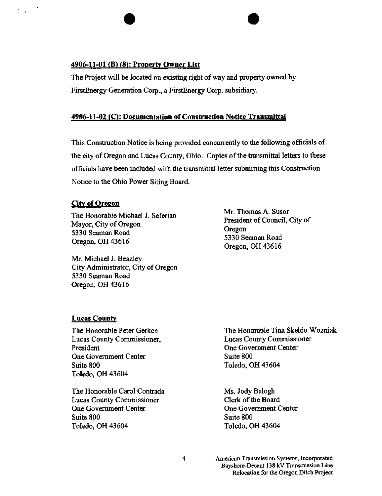#### 4906-11-01 (B) (8): Property Owner List

The Project will be located on existing right of way and property owned by FirstEnergy Generation Corp., a FirstEnergy Corp. subsidiary.

### 4906-11-02 (C): Documentation of Construction Notice Transmittal

This Construction Notice is being provided concurrently to the following officials of the city of Oregon and Lucas County, Ohio. Copies of the transmittal letters to these officials have been included with the transmittal letter submitting this Construction Notice to the Ohio Power Siting Board.

#### City of Oregon

The Honorable Michael J. Seferian Mayor, City of Oregon 5330 Seaman Road Oregon, OH 43616

Mr. Michael J. Beazley City Administrator, City of Oregon 5330 Seaman Road Oregon, OH 43616

Mr. Thomas A. Susor President of Council, City of Oregon 5330 Seaman Road Oregon, OH 43616

### Lucas County

The Honorable Peter Gerken Lucas County Commissioner, President One Government Center Suite 800 Toledo, OH 43604

The Honorable Carol Contrada Lucas County Commissioner One Government Center Suite 800 Toledo, OH 43604

The Honorable Tina Skeldo Wozniak Lucas County Commissioner One Government Center Suite 800 Toledo, OH 43604

Ms. Jody Balogh Clerk of the Board One Government Center Suite 800 Toledo, OH 43604

American Transmission Systems, Incorporated Bayshore-Decant 138 kV Transmission Line Relocation for the Oregon Ditch Project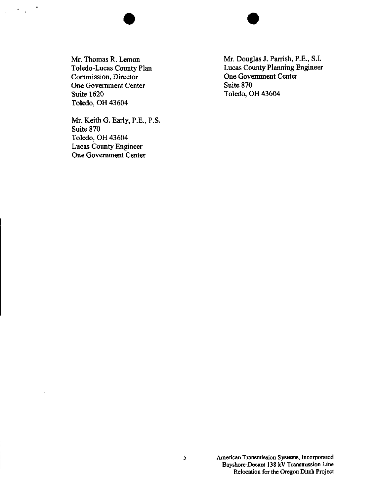Mr. Thomas R. Lemon Toledo-Lucas County Plan Commission, Director One Government Center Suite 1620 Toledo, OH 43604

 $\Delta$ 

Mr. Keith G. Early, P.E., P.S. Suite 870 Toledo, OH 43604 Lucas County Engineer One Government Center

Mr. Douglas J. Parrish, P.E., S.I. Lucas County Planning Engineer One Government Center Suite 870 Toledo, OH 43604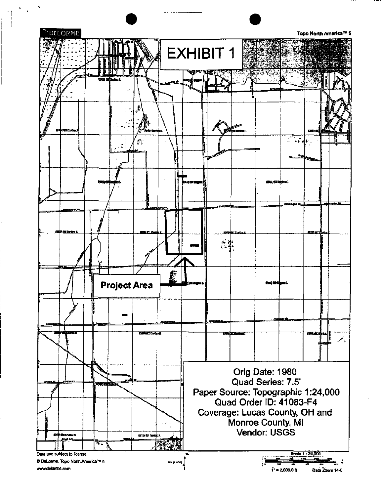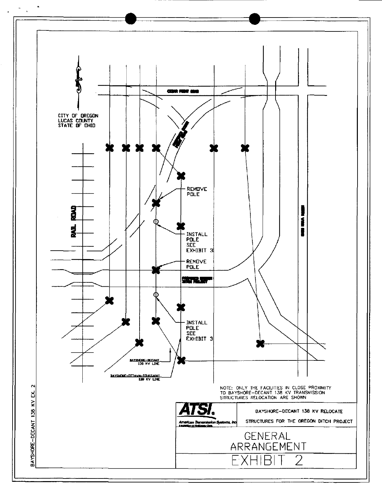